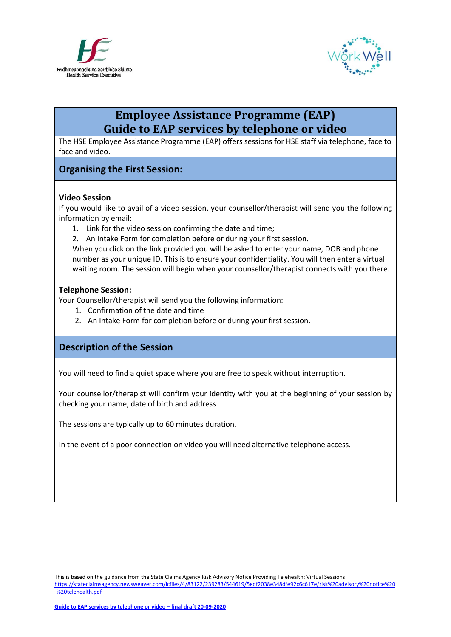



# **Employee Assistance Programme (EAP) Guide to EAP services by telephone or video**

The HSE Employee Assistance Programme (EAP) offers sessions for HSE staff via telephone, face to face and video.

# **Organising the First Session:**

#### **Video Session**

If you would like to avail of a video session, your counsellor/therapist will send you the following information by email:

- 1. Link for the video session confirming the date and time;
- 2. An Intake Form for completion before or during your first session.

When you click on the link provided you will be asked to enter your name, DOB and phone number as your unique ID. This is to ensure your confidentiality. You will then enter a virtual waiting room. The session will begin when your counsellor/therapist connects with you there.

#### **Telephone Session:**

Your Counsellor/therapist will send you the following information:

- 1. Confirmation of the date and time
- 2. An Intake Form for completion before or during your first session.

### **Description of the Session**

You will need to find a quiet space where you are free to speak without interruption.

Your counsellor/therapist will confirm your identity with you at the beginning of your session by checking your name, date of birth and address.

The sessions are typically up to 60 minutes duration.

In the event of a poor connection on video you will need alternative telephone access.